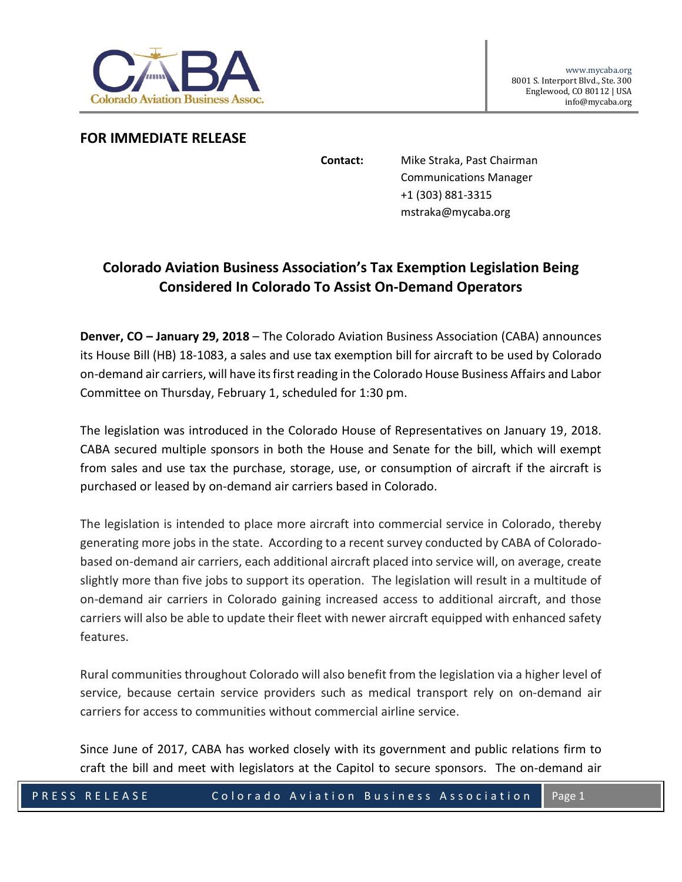

## **FOR IMMEDIATE RELEASE**

**Contact:** Mike Straka, Past Chairman Communications Manager +1 (303) 881-3315 mstraka@mycaba.org

## **Colorado Aviation Business Association's Tax Exemption Legislation Being Considered In Colorado To Assist On-Demand Operators**

**Denver, CO – January 29, 2018** – The Colorado Aviation Business Association (CABA) announces its House Bill (HB) 18-1083, a sales and use tax exemption bill for aircraft to be used by Colorado on-demand air carriers, will have its first reading in the Colorado House Business Affairs and Labor Committee on Thursday, February 1, scheduled for 1:30 pm.

The legislation was introduced in the Colorado House of Representatives on January 19, 2018. CABA secured multiple sponsors in both the House and Senate for the bill, which will exempt from sales and use tax the purchase, storage, use, or consumption of aircraft if the aircraft is purchased or leased by on-demand air carriers based in Colorado.

The legislation is intended to place more aircraft into commercial service in Colorado, thereby generating more jobs in the state. According to a recent survey conducted by CABA of Coloradobased on-demand air carriers, each additional aircraft placed into service will, on average, create slightly more than five jobs to support its operation. The legislation will result in a multitude of on-demand air carriers in Colorado gaining increased access to additional aircraft, and those carriers will also be able to update their fleet with newer aircraft equipped with enhanced safety features.

Rural communities throughout Colorado will also benefit from the legislation via a higher level of service, because certain service providers such as medical transport rely on on-demand air carriers for access to communities without commercial airline service.

Since June of 2017, CABA has worked closely with its government and public relations firm to craft the bill and meet with legislators at the Capitol to secure sponsors. The on-demand air